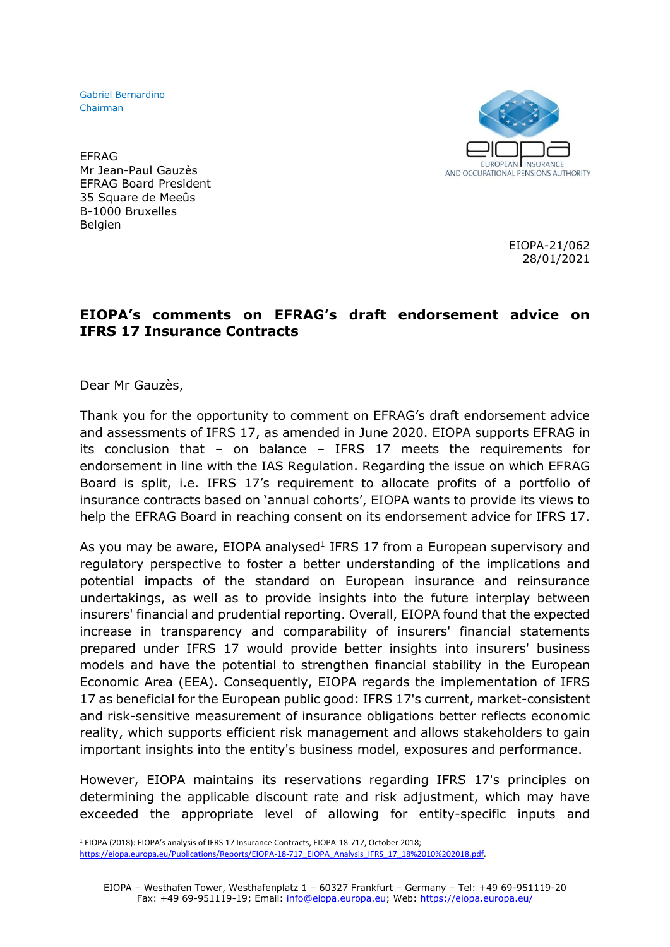Gabriel Bernardino Chairman



EFRAG Mr Jean-Paul Gauzès EFRAG Board President 35 Square de Meeûs B-1000 Bruxelles Belgien

> EIOPA-21/062 28/01/2021

## **EIOPA's comments on EFRAG's draft endorsement advice on IFRS 17 Insurance Contracts**

Dear Mr Gauzès,

Thank you for the opportunity to comment on EFRAG's draft endorsement advice and assessments of IFRS 17, as amended in June 2020. EIOPA supports EFRAG in its conclusion that – on balance – IFRS 17 meets the requirements for endorsement in line with the IAS Regulation. Regarding the issue on which EFRAG Board is split, i.e. IFRS 17's requirement to allocate profits of a portfolio of insurance contracts based on 'annual cohorts', EIOPA wants to provide its views to help the EFRAG Board in reaching consent on its endorsement advice for IFRS 17.

As you may be aware, EIOPA analysed<sup>1</sup> IFRS 17 from a European supervisory and regulatory perspective to foster a better understanding of the implications and potential impacts of the standard on European insurance and reinsurance undertakings, as well as to provide insights into the future interplay between insurers' financial and prudential reporting. Overall, EIOPA found that the expected increase in transparency and comparability of insurers' financial statements prepared under IFRS 17 would provide better insights into insurers' business models and have the potential to strengthen financial stability in the European Economic Area (EEA). Consequently, EIOPA regards the implementation of IFRS 17 as beneficial for the European public good: IFRS 17's current, market-consistent and risk-sensitive measurement of insurance obligations better reflects economic reality, which supports efficient risk management and allows stakeholders to gain important insights into the entity's business model, exposures and performance.

However, EIOPA maintains its reservations regarding IFRS 17's principles on determining the applicable discount rate and risk adjustment, which may have exceeded the appropriate level of allowing for entity-specific inputs and

<sup>1</sup> EIOPA (2018): EIOPA's analysis of IFRS 17 Insurance Contracts, EIOPA-18-717, October 2018;

[https://eiopa.europa.eu/Publications/Reports/EIOPA-18-717\\_EIOPA\\_Analysis\\_IFRS\\_17\\_18%2010%202018.pdf.](https://eiopa.europa.eu/Publications/Reports/EIOPA-18-717_EIOPA_Analysis_IFRS_17_18%2010%202018.pdf)

EIOPA – Westhafen Tower, Westhafenplatz 1 – 60327 Frankfurt – Germany – Tel: +49 69-951119-20 Fax: +49 69-951119-19; Email: [info@eiopa.europa.eu;](mailto:info@eiopa.europa.eu) Web:<https://eiopa.europa.eu/>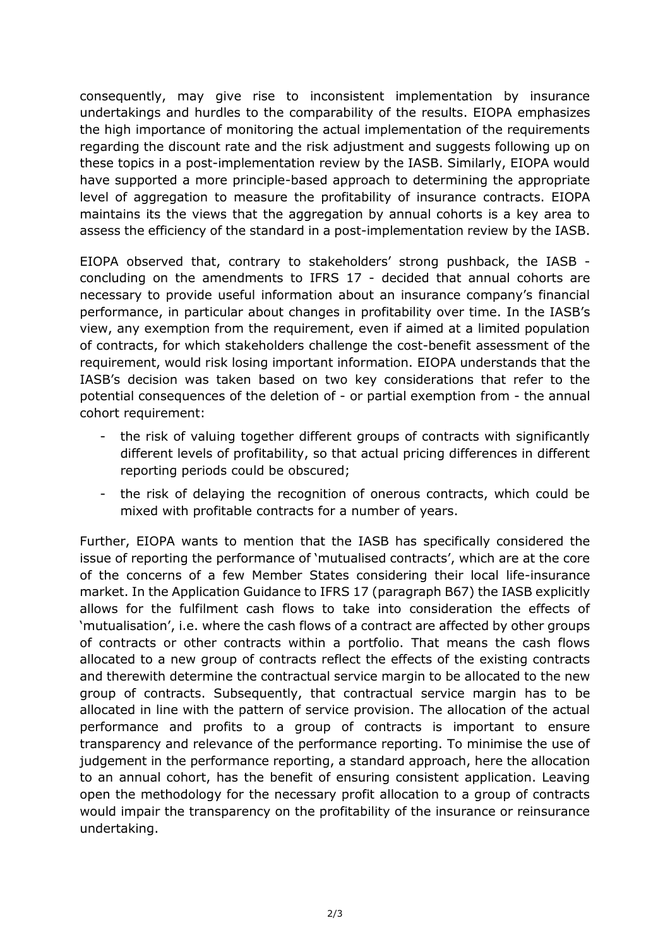consequently, may give rise to inconsistent implementation by insurance undertakings and hurdles to the comparability of the results. EIOPA emphasizes the high importance of monitoring the actual implementation of the requirements regarding the discount rate and the risk adjustment and suggests following up on these topics in a post-implementation review by the IASB. Similarly, EIOPA would have supported a more principle-based approach to determining the appropriate level of aggregation to measure the profitability of insurance contracts. EIOPA maintains its the views that the aggregation by annual cohorts is a key area to assess the efficiency of the standard in a post-implementation review by the IASB.

EIOPA observed that, contrary to stakeholders' strong pushback, the IASB concluding on the amendments to IFRS 17 - decided that annual cohorts are necessary to provide useful information about an insurance company's financial performance, in particular about changes in profitability over time. In the IASB's view, any exemption from the requirement, even if aimed at a limited population of contracts, for which stakeholders challenge the cost-benefit assessment of the requirement, would risk losing important information. EIOPA understands that the IASB's decision was taken based on two key considerations that refer to the potential consequences of the deletion of - or partial exemption from - the annual cohort requirement:

- the risk of valuing together different groups of contracts with significantly different levels of profitability, so that actual pricing differences in different reporting periods could be obscured;
- the risk of delaying the recognition of onerous contracts, which could be mixed with profitable contracts for a number of years.

Further, EIOPA wants to mention that the IASB has specifically considered the issue of reporting the performance of 'mutualised contracts', which are at the core of the concerns of a few Member States considering their local life-insurance market. In the Application Guidance to IFRS 17 (paragraph B67) the IASB explicitly allows for the fulfilment cash flows to take into consideration the effects of 'mutualisation', i.e. where the cash flows of a contract are affected by other groups of contracts or other contracts within a portfolio. That means the cash flows allocated to a new group of contracts reflect the effects of the existing contracts and therewith determine the contractual service margin to be allocated to the new group of contracts. Subsequently, that contractual service margin has to be allocated in line with the pattern of service provision. The allocation of the actual performance and profits to a group of contracts is important to ensure transparency and relevance of the performance reporting. To minimise the use of judgement in the performance reporting, a standard approach, here the allocation to an annual cohort, has the benefit of ensuring consistent application. Leaving open the methodology for the necessary profit allocation to a group of contracts would impair the transparency on the profitability of the insurance or reinsurance undertaking.